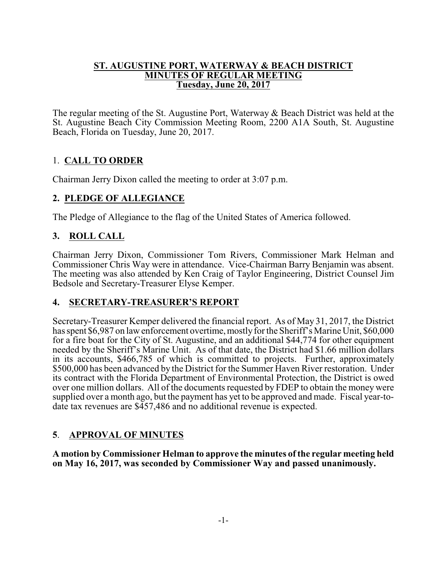#### **ST. AUGUSTINE PORT, WATERWAY & BEACH DISTRICT MINUTES OF REGULAR MEETING Tuesday, June 20, 2017**

The regular meeting of the St. Augustine Port, Waterway & Beach District was held at the St. Augustine Beach City Commission Meeting Room, 2200 A1A South, St. Augustine Beach, Florida on Tuesday, June 20, 2017.

# 1. **CALL TO ORDER**

Chairman Jerry Dixon called the meeting to order at 3:07 p.m.

# **2. PLEDGE OF ALLEGIANCE**

The Pledge of Allegiance to the flag of the United States of America followed.

# **3. ROLL CALL**

Chairman Jerry Dixon, Commissioner Tom Rivers, Commissioner Mark Helman and Commissioner Chris Way were in attendance. Vice-Chairman Barry Benjamin was absent. The meeting was also attended by Ken Craig of Taylor Engineering, District Counsel Jim Bedsole and Secretary-Treasurer Elyse Kemper.

# **4. SECRETARY-TREASURER'S REPORT**

Secretary-Treasurer Kemper delivered the financial report. As of May 31, 2017, the District has spent \$6,987 on law enforcement overtime, mostly for the Sheriff's Marine Unit, \$60,000 for a fire boat for the City of St. Augustine, and an additional \$44,774 for other equipment needed by the Sheriff's Marine Unit. As of that date, the District had \$1.66 million dollars in its accounts, \$466,785 of which is committed to projects. Further, approximately \$500,000 has been advanced by the District for the Summer Haven River restoration. Under its contract with the Florida Department of Environmental Protection, the District is owed over one million dollars. All of the documents requested by FDEP to obtain the money were supplied over a month ago, but the payment has yet to be approved and made. Fiscal year-todate tax revenues are \$457,486 and no additional revenue is expected.

# **5**. **APPROVAL OF MINUTES**

**A motion by Commissioner Helman to approve the minutes of the regular meeting held on May 16, 2017, was seconded by Commissioner Way and passed unanimously.**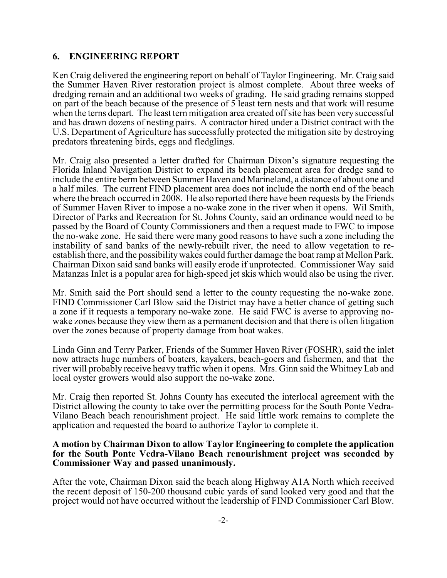#### **6. ENGINEERING REPORT**

Ken Craig delivered the engineering report on behalf of Taylor Engineering. Mr. Craig said the Summer Haven River restoration project is almost complete. About three weeks of dredging remain and an additional two weeks of grading. He said grading remains stopped on part of the beach because of the presence of 5 least tern nests and that work will resume when the terns depart. The least tern mitigation area created offsite has been very successful and has drawn dozens of nesting pairs. A contractor hired under a District contract with the U.S. Department of Agriculture has successfully protected the mitigation site by destroying predators threatening birds, eggs and fledglings.

Mr. Craig also presented a letter drafted for Chairman Dixon's signature requesting the Florida Inland Navigation District to expand its beach placement area for dredge sand to include the entire bermbetween Summer Haven and Marineland, a distance of about one and a half miles. The current FIND placement area does not include the north end of the beach where the breach occurred in 2008. He also reported there have been requests by the Friends of Summer Haven River to impose a no-wake zone in the river when it opens. Wil Smith, Director of Parks and Recreation for St. Johns County, said an ordinance would need to be passed by the Board of County Commissioners and then a request made to FWC to impose the no-wake zone. He said there were many good reasons to have such a zone including the instability of sand banks of the newly-rebuilt river, the need to allow vegetation to reestablish there, and the possibilitywakes could further damage the boat ramp at Mellon Park. Chairman Dixon said sand banks will easily erode if unprotected. Commissioner Way said Matanzas Inlet is a popular area for high-speed jet skis which would also be using the river.

Mr. Smith said the Port should send a letter to the county requesting the no-wake zone. FIND Commissioner Carl Blow said the District may have a better chance of getting such a zone if it requests a temporary no-wake zone. He said FWC is averse to approving nowake zones because they view them as a permanent decision and that there is often litigation over the zones because of property damage from boat wakes.

Linda Ginn and Terry Parker, Friends of the Summer Haven River (FOSHR), said the inlet now attracts huge numbers of boaters, kayakers, beach-goers and fishermen, and that the river will probably receive heavy traffic when it opens. Mrs. Ginn said the Whitney Lab and local oyster growers would also support the no-wake zone.

Mr. Craig then reported St. Johns County has executed the interlocal agreement with the District allowing the county to take over the permitting process for the South Ponte Vedra-Vilano Beach beach renourishment project. He said little work remains to complete the application and requested the board to authorize Taylor to complete it.

#### **A motion by Chairman Dixon to allow Taylor Engineering to complete the application for the South Ponte Vedra-Vilano Beach renourishment project was seconded by Commissioner Way and passed unanimously.**

After the vote, Chairman Dixon said the beach along Highway A1A North which received the recent deposit of 150-200 thousand cubic yards of sand looked very good and that the project would not have occurred without the leadership of FIND Commissioner Carl Blow.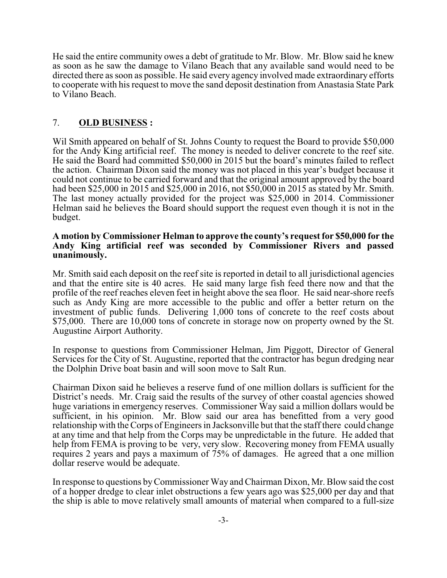He said the entire community owes a debt of gratitude to Mr. Blow. Mr. Blow said he knew as soon as he saw the damage to Vilano Beach that any available sand would need to be directed there as soon as possible. He said every agency involved made extraordinary efforts to cooperate with his request to move the sand deposit destination from Anastasia State Park to Vilano Beach.

# 7. **OLD BUSINESS :**

Wil Smith appeared on behalf of St. Johns County to request the Board to provide \$50,000 for the Andy King artificial reef. The money is needed to deliver concrete to the reef site. He said the Board had committed \$50,000 in 2015 but the board's minutes failed to reflect the action. Chairman Dixon said the money was not placed in this year's budget because it could not continue to be carried forward and that the original amount approved by the board had been \$25,000 in 2015 and \$25,000 in 2016, not \$50,000 in 2015 as stated by Mr. Smith. The last money actually provided for the project was \$25,000 in 2014. Commissioner Helman said he believes the Board should support the request even though it is not in the budget.

#### **A motion by Commissioner Helman to approve the county's request for \$50,000 for the Andy King artificial reef was seconded by Commissioner Rivers and passed unanimously.**

Mr. Smith said each deposit on the reef site is reported in detail to all jurisdictional agencies and that the entire site is 40 acres. He said many large fish feed there now and that the profile of the reef reaches eleven feet in height above the sea floor. He said near-shore reefs such as Andy King are more accessible to the public and offer a better return on the investment of public funds. Delivering 1,000 tons of concrete to the reef costs about \$75,000. There are 10,000 tons of concrete in storage now on property owned by the St. Augustine Airport Authority.

In response to questions from Commissioner Helman, Jim Piggott, Director of General Services for the City of St. Augustine, reported that the contractor has begun dredging near the Dolphin Drive boat basin and will soon move to Salt Run.

Chairman Dixon said he believes a reserve fund of one million dollars is sufficient for the District's needs. Mr. Craig said the results of the survey of other coastal agencies showed huge variations in emergency reserves. Commissioner Way said a million dollars would be sufficient, in his opinion. Mr. Blow said our area has benefitted from a very good relationship with the Corps of Engineers in Jacksonville but that the staff there could change at any time and that help from the Corps may be unpredictable in the future. He added that help from FEMA is proving to be very, very slow. Recovering money from FEMA usually requires 2 years and pays a maximum of 75% of damages. He agreed that a one million dollar reserve would be adequate.

In response to questions byCommissioner Way and Chairman Dixon, Mr. Blow said the cost of a hopper dredge to clear inlet obstructions a few years ago was \$25,000 per day and that the ship is able to move relatively small amounts of material when compared to a full-size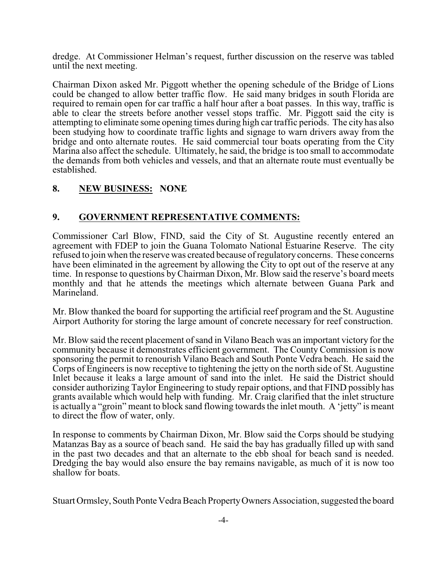dredge. At Commissioner Helman's request, further discussion on the reserve was tabled until the next meeting.

Chairman Dixon asked Mr. Piggott whether the opening schedule of the Bridge of Lions could be changed to allow better traffic flow. He said many bridges in south Florida are required to remain open for car traffic a half hour after a boat passes. In this way, traffic is able to clear the streets before another vessel stops traffic. Mr. Piggott said the city is attempting to eliminate some opening times during high car traffic periods. The city has also been studying how to coordinate traffic lights and signage to warn drivers away from the bridge and onto alternate routes. He said commercial tour boats operating from the City Marina also affect the schedule. Ultimately, he said, the bridge is too small to accommodate the demands from both vehicles and vessels, and that an alternate route must eventually be established.

### **8. NEW BUSINESS: NONE**

#### **9. GOVERNMENT REPRESENTATIVE COMMENTS:**

Commissioner Carl Blow, FIND, said the City of St. Augustine recently entered an agreement with FDEP to join the Guana Tolomato National Estuarine Reserve. The city refused to join when the reserve was created because of regulatory concerns. These concerns have been eliminated in the agreement by allowing the City to opt out of the reserve at any time. In response to questions byChairman Dixon, Mr. Blow said the reserve's board meets monthly and that he attends the meetings which alternate between Guana Park and Marineland.

Mr. Blow thanked the board for supporting the artificial reef program and the St. Augustine Airport Authority for storing the large amount of concrete necessary for reef construction.

Mr. Blow said the recent placement ofsand in Vilano Beach was an important victory for the community because it demonstrates efficient government. The County Commission is now sponsoring the permit to renourish Vilano Beach and South Ponte Vedra beach. He said the Corps of Engineers is now receptive to tightening the jetty on the north side of St. Augustine Inlet because it leaks a large amount of sand into the inlet. He said the District should consider authorizing Taylor Engineering to study repair options, and that FIND possibly has grants available which would help with funding. Mr. Craig clarified that the inlet structure is actually a "groin" meant to block sand flowing towards the inlet mouth. A 'jetty" is meant to direct the flow of water, only.

In response to comments by Chairman Dixon, Mr. Blow said the Corps should be studying Matanzas Bay as a source of beach sand. He said the bay has gradually filled up with sand in the past two decades and that an alternate to the ebb shoal for beach sand is needed. Dredging the bay would also ensure the bay remains navigable, as much of it is now too shallow for boats.

Stuart Ormsley, South Ponte Vedra Beach Property Owners Association, suggested the board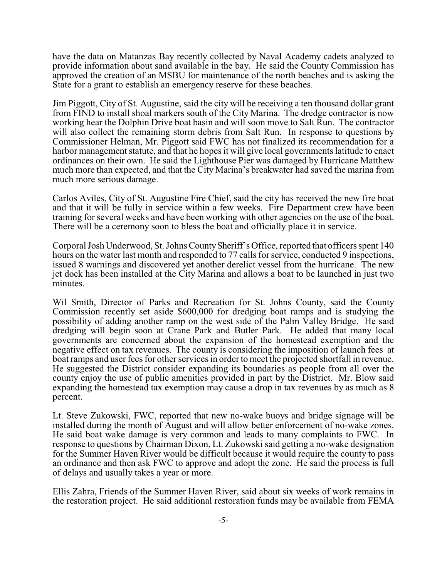have the data on Matanzas Bay recently collected by Naval Academy cadets analyzed to provide information about sand available in the bay. He said the County Commission has approved the creation of an MSBU for maintenance of the north beaches and is asking the State for a grant to establish an emergency reserve for these beaches.

Jim Piggott, City of St. Augustine, said the city will be receiving a ten thousand dollar grant from FIND to install shoal markers south of the City Marina. The dredge contractor is now working hear the Dolphin Drive boat basin and will soon move to Salt Run. The contractor will also collect the remaining storm debris from Salt Run. In response to questions by Commissioner Helman, Mr. Piggott said FWC has not finalized its recommendation for a harbor management statute, and that he hopes it will give local governments latitude to enact ordinances on their own. He said the Lighthouse Pier was damaged by Hurricane Matthew much more than expected, and that the City Marina's breakwater had saved the marina from much more serious damage.

Carlos Aviles, City of St. Augustine Fire Chief, said the city has received the new fire boat and that it will be fully in service within a few weeks. Fire Department crew have been training for several weeks and have been working with other agencies on the use of the boat. There will be a ceremony soon to bless the boat and officially place it in service.

Corporal Josh Underwood, St. Johns CountySheriff's Office, reported that officers spent 140 hours on the water last month and responded to 77 calls for service, conducted 9 inspections, issued 8 warnings and discovered yet another derelict vessel from the hurricane. The new jet dock has been installed at the City Marina and allows a boat to be launched in just two minutes.

Wil Smith, Director of Parks and Recreation for St. Johns County, said the County Commission recently set aside \$600,000 for dredging boat ramps and is studying the possibility of adding another ramp on the west side of the Palm Valley Bridge. He said dredging will begin soon at Crane Park and Butler Park. He added that many local governments are concerned about the expansion of the homestead exemption and the negative effect on tax revenues. The county is considering the imposition of launch fees at boat ramps and user fees for other services in order to meet the projected shortfall in revenue. He suggested the District consider expanding its boundaries as people from all over the county enjoy the use of public amenities provided in part by the District. Mr. Blow said expanding the homestead tax exemption may cause a drop in tax revenues by as much as 8 percent.

Lt. Steve Zukowski, FWC, reported that new no-wake buoys and bridge signage will be installed during the month of August and will allow better enforcement of no-wake zones. He said boat wake damage is very common and leads to many complaints to FWC. In response to questions by Chairman Dixon, Lt. Zukowski said getting a no-wake designation for the Summer Haven River would be difficult because it would require the county to pass an ordinance and then ask FWC to approve and adopt the zone. He said the process is full of delays and usually takes a year or more.

Ellis Zahra, Friends of the Summer Haven River, said about six weeks of work remains in the restoration project. He said additional restoration funds may be available from FEMA